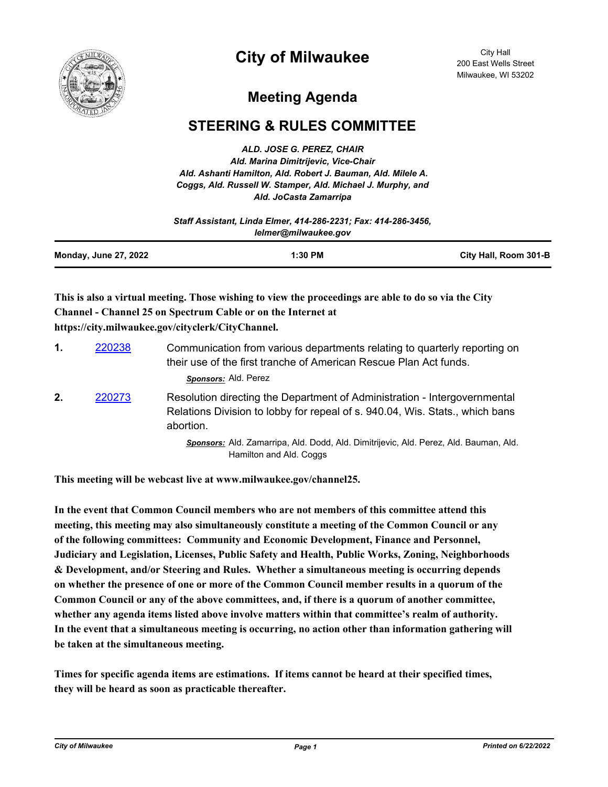

## **City of Milwaukee**

City Hall 200 East Wells Street Milwaukee, WI 53202

## **Meeting Agenda**

## **STEERING & RULES COMMITTEE**

*ALD. JOSE G. PEREZ, CHAIR Ald. Marina Dimitrijevic, Vice-Chair Ald. Ashanti Hamilton, Ald. Robert J. Bauman, Ald. Milele A. Coggs, Ald. Russell W. Stamper, Ald. Michael J. Murphy, and Ald. JoCasta Zamarripa*

|                              | Staff Assistant, Linda Elmer, 414-286-2231; Fax: 414-286-3456. |                       |
|------------------------------|----------------------------------------------------------------|-----------------------|
|                              | lelmer@milwaukee.gov                                           |                       |
| <b>Monday, June 27, 2022</b> | $1:30$ PM                                                      | City Hall, Room 301-B |

## **This is also a virtual meeting. Those wishing to view the proceedings are able to do so via the City Channel - Channel 25 on Spectrum Cable or on the Internet at https://city.milwaukee.gov/cityclerk/CityChannel.**

| $\mathbf{1}$ . | 220238 | Communication from various departments relating to quarterly reporting on<br>their use of the first tranche of American Rescue Plan Act funds.<br>Sponsors: Ald. Perez |
|----------------|--------|------------------------------------------------------------------------------------------------------------------------------------------------------------------------|
| 2.             | 220273 | Resolution directing the Department of Administration - Intergovernmental<br>Relations Division to lobby for repeal of s. 940.04, Wis. Stats., which bans<br>abortion. |
|                |        | Sponsors: Ald. Zamarripa, Ald. Dodd, Ald. Dimitrijevic, Ald. Perez, Ald. Bauman, Ald.<br>Hamilton and Ald. Coggs                                                       |

**This meeting will be webcast live at www.milwaukee.gov/channel25.**

**In the event that Common Council members who are not members of this committee attend this meeting, this meeting may also simultaneously constitute a meeting of the Common Council or any of the following committees: Community and Economic Development, Finance and Personnel, Judiciary and Legislation, Licenses, Public Safety and Health, Public Works, Zoning, Neighborhoods & Development, and/or Steering and Rules. Whether a simultaneous meeting is occurring depends on whether the presence of one or more of the Common Council member results in a quorum of the Common Council or any of the above committees, and, if there is a quorum of another committee, whether any agenda items listed above involve matters within that committee's realm of authority. In the event that a simultaneous meeting is occurring, no action other than information gathering will be taken at the simultaneous meeting.**

**Times for specific agenda items are estimations. If items cannot be heard at their specified times, they will be heard as soon as practicable thereafter.**